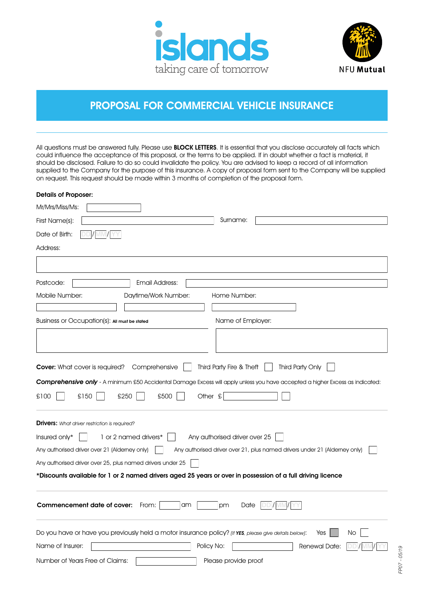



# PROPOSAL FOR COMMERCIAL VEHICLE INSURANCE

All questions must be answered fully. Please use **BLOCK LETTERS**. It is essential that you disclose accurately all facts which could influence the acceptance of this proposal, or the terms to be applied. If in doubt whether a fact is material, it should be disclosed. Failure to do so could invalidate the policy. You are advised to keep a record of all information supplied to the Company for the purpose of this insurance. A copy of proposal form sent to the Company will be supplied on request. This request should be made within 3 months of completion of the proposal form.

| <b>Details of Proposer:</b>                                |                         |                                                                                                                               |
|------------------------------------------------------------|-------------------------|-------------------------------------------------------------------------------------------------------------------------------|
| Mr/Mrs/Miss/Ms:                                            |                         |                                                                                                                               |
| First Name(s):                                             |                         | Surname:                                                                                                                      |
| Date of Birth:                                             |                         |                                                                                                                               |
| Address:                                                   |                         |                                                                                                                               |
|                                                            |                         |                                                                                                                               |
| Postcode:                                                  | <b>Email Address:</b>   |                                                                                                                               |
| Mobile Number:                                             | Daytime/Work Number:    | Home Number:                                                                                                                  |
|                                                            |                         |                                                                                                                               |
| Business or Occupation(s): All must be stated              |                         | Name of Employer:                                                                                                             |
|                                                            |                         |                                                                                                                               |
|                                                            |                         |                                                                                                                               |
| <b>Cover:</b> What cover is required?                      | Comprehensive           | Third Party Fire & Theft<br>Third Party Only                                                                                  |
|                                                            |                         |                                                                                                                               |
|                                                            |                         | Comprehensive only - A minimum £50 Accidental Damage Excess will apply unless you have accepted a higher Excess as indicated: |
| £150<br>£100                                               | £250<br>£500<br>Other £ |                                                                                                                               |
|                                                            |                         |                                                                                                                               |
| <b>Drivers:</b> What driver restriction is required?       |                         |                                                                                                                               |
| Insured only*                                              | 1 or 2 named drivers*   | Any authorised driver over 25                                                                                                 |
| Any authorised driver over 21 (Alderney only)              |                         | Any authorised driver over 21, plus named drivers under 21 (Alderney only)                                                    |
| Any authorised driver over 25, plus named drivers under 25 |                         |                                                                                                                               |
|                                                            |                         | *Discounts available for 1 or 2 named drivers aged 25 years or over in possession of a full driving licence                   |
| Commencement date of cover:                                | From:<br>am             | Date<br>pm                                                                                                                    |
|                                                            |                         | Do you have or have you previously held a motor insurance policy? (If YES, please give details below):<br><b>No</b><br>Yes    |
| Name of Insurer:                                           |                         | Policy No:<br><b>Renewal Date:</b>                                                                                            |
| Number of Years Free of Claims:                            |                         | Please provide proof                                                                                                          |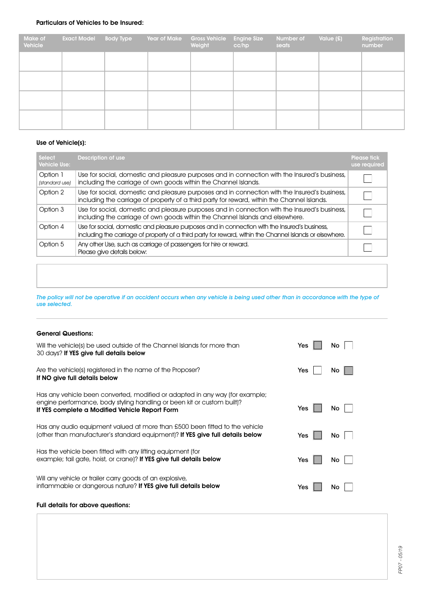## Particulars of Vehicles to be Insured:

| Make of<br>Vehicle | <b>Exact Model Body Type</b> | Year of Make Gross Vehicle Engine Size | Weight | cc/hp | Number of<br>seats | Value (£) | Registration<br>number |
|--------------------|------------------------------|----------------------------------------|--------|-------|--------------------|-----------|------------------------|
|                    |                              |                                        |        |       |                    |           |                        |
|                    |                              |                                        |        |       |                    |           |                        |
|                    |                              |                                        |        |       |                    |           |                        |
|                    |                              |                                        |        |       |                    |           |                        |

# Use of Vehicle(s):

| Select<br><b>Vehicle Use:</b> | <b>Description of use</b>                                                                                                                                                                                 | <b>Please tick</b><br>use required |
|-------------------------------|-----------------------------------------------------------------------------------------------------------------------------------------------------------------------------------------------------------|------------------------------------|
| Option 1<br>(standard use)    | Use for social, domestic and pleasure purposes and in connection with the Insured's business,<br>including the carriage of own goods within the Channel Islands.                                          |                                    |
| Option 2                      | Use for social, domestic and pleasure purposes and in connection with the Insured's business,<br>including the carriage of property of a third party for reward, within the Channel Islands.              |                                    |
| Option 3                      | Use for social, domestic and pleasure purposes and in connection with the Insured's business,<br>including the carriage of own goods within the Channel Islands and elsewhere.                            |                                    |
| Option 4                      | Use for social, domestic and pleasure purposes and in connection with the Insured's business,<br>including the carriage of property of a third party for reward, within the Channel Islands or elsewhere. |                                    |
| Option 5                      | Any other Use, such as carriage of passengers for hire or reward.<br>Please give details below:                                                                                                           |                                    |

#### The policy will not be operative if an accident occurs when any vehicle is being used other than in accordance with the type of use selected.

## General Questions:

| Will the vehicle(s) be used outside of the Channel Islands for more than<br>30 days? If YES give full details below                                                                                       | Yes | Νo  |
|-----------------------------------------------------------------------------------------------------------------------------------------------------------------------------------------------------------|-----|-----|
| Are the vehicle(s) registered in the name of the Proposer?<br>If NO give full details below                                                                                                               | Yes | No. |
| Has any vehicle been converted, modified or adapted in any way (for example;<br>engine performance, body styling handling or been kit or custom built)?<br>If YES complete a Modified Vehicle Report Form | Yes | No. |
| Has any audio equipment valued at more than £500 been fitted to the vehicle<br>(other than manufacturer's standard equipment)? If YES give full details below                                             | Yes | No. |
| Has the vehicle been fitted with any lifting equipment (for<br>example; tail gate, hoist, or crane)? If YES give full details below                                                                       | Yes | No. |
| Will any vehicle or trailer carry goods of an explosive,<br>inflammable or dangerous nature? If YES give full details below                                                                               | Yes | Nο  |

# Full details for above questions: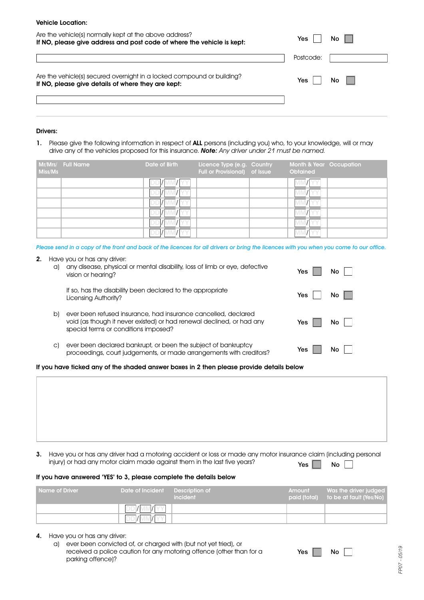| <b>Vehicle Location:</b>                                                                                                         |           |    |
|----------------------------------------------------------------------------------------------------------------------------------|-----------|----|
| Are the vehicle(s) normally kept at the above address?<br>If NO, please give address and post code of where the vehicle is kept: | Yes       | No |
|                                                                                                                                  | Postcode: |    |
| Are the vehicle(s) secured overnight in a locked compound or building?<br>If NO, please give details of where they are kept:     | Yes       | No |
|                                                                                                                                  |           |    |
|                                                                                                                                  |           |    |

## Drivers:

1. Please give the following information in respect of ALL persons (including you) who, to your knowledge, will or may drive any of the vehicles proposed for this insurance. Note: Any driver under 21 must be named.

| Miss/Ms | Mr/Mrs/ Full Name | Date of Birth | Licence Type (e.g. Country<br>Full or Provisional) of Issue | <b>Month &amp; Year Occupation</b><br><b>Obtained</b> |  |
|---------|-------------------|---------------|-------------------------------------------------------------|-------------------------------------------------------|--|
|         |                   |               |                                                             |                                                       |  |
|         |                   |               |                                                             | Мľ                                                    |  |
|         |                   |               |                                                             | V.                                                    |  |
|         |                   | <b>DD</b>     |                                                             | МN                                                    |  |
|         |                   |               |                                                             |                                                       |  |
|         |                   | D             |                                                             | v.                                                    |  |

Please send in a copy of the front and back of the licences for all drivers or bring the licences with you when you come to our office.

#### 2. Have you or has any driver:

| a) | any disease, physical or mental disability, loss of limb or eye, defective<br>vision or hearing?                                                                                | Yes | No. |
|----|---------------------------------------------------------------------------------------------------------------------------------------------------------------------------------|-----|-----|
|    | If so, has the disability been declared to the appropriate<br>Licensing Authority?                                                                                              | Yes | No. |
| b) | ever been refused insurance, had insurance cancelled, declared<br>void (as though it never existed) or had renewal declined, or had any<br>special terms or conditions imposed? | Yes | No  |
| C) | ever been declared bankrupt, or been the subject of bankruptcy<br>proceedings, court judgements, or made arrangements with creditors?                                           | Yes | Νo  |

#### If you have ticked any of the shaded answer boxes in 2 then please provide details below

3. Have you or has any driver had a motoring accident or loss or made any motor insurance claim (including personal injury) or had any motor claim made against them in the last five years?  $Yes \Box \ No$ 

#### If you have answered 'YES' to 3, please complete the details below

| Name of Driver | Date of Incident Description of | incident | Amount | <b>Example 1</b> Was the driver judged<br>paid (total) to be at fault (Yes/No) |
|----------------|---------------------------------|----------|--------|--------------------------------------------------------------------------------|
|                |                                 |          |        |                                                                                |
|                |                                 |          |        |                                                                                |

## 4. Have you or has any driver:

a) ever been convicted of, or charged with (but not yet tried), or received a police caution for any motoring offence (other than for a parking offence)?

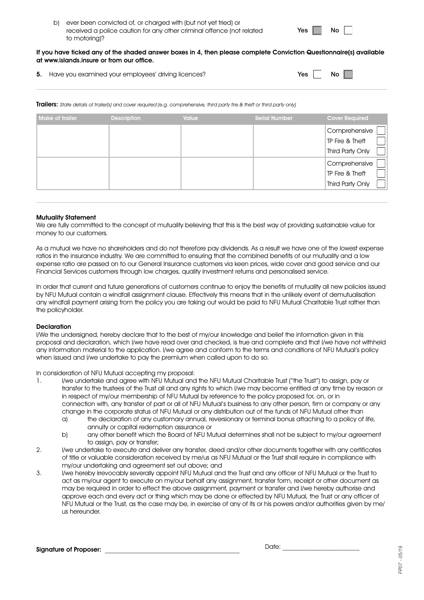| b) ever been convicted of, or charged with (but not yet tried) or     |
|-----------------------------------------------------------------------|
| received a police caution for any other criminal offence (not related |
| to motorina)?                                                         |

## If you have ticked any of the shaded answer boxes in 4, then please complete Conviction Questionnaire(s) available at www.islands.insure or from our office.

5. Have you examined your employees' driving licences? The Mondon State Mondon Yes No

| Nn<br>$\sim$ |
|--------------|
|--------------|

Trailers: State details of trailer(s) and cover required (e.g. comprehensive, third party fire & theft or third party only)

| <b>Make of trailer</b> | <b>Description</b> | <b>Value</b> | <b>Serial Number</b> | <b>Cover Required</b> |
|------------------------|--------------------|--------------|----------------------|-----------------------|
|                        |                    |              |                      | Comprehensive         |
|                        |                    |              |                      | TP Fire & Theft       |
|                        |                    |              |                      | Third Party Only      |
|                        |                    |              |                      | Comprehensive         |
|                        |                    |              |                      | TP Fire & Theft       |
|                        |                    |              |                      | Third Party Only      |

## Mutuality Statement

We are fully committed to the concept of mutuality believing that this is the best way of providing sustainable value for money to our customers.

As a mutual we have no shareholders and do not therefore pay dividends. As a result we have one of the lowest expense ratios in the insurance industry. We are committed to ensuring that the combined benefits of our mutuality and a low expense ratio are passed on to our General Insurance customers via keen prices, wide cover and good service and our Financial Services customers through low charges, quality investment returns and personalised service.

In order that current and future generations of customers continue to enjoy the benefits of mutuality all new policies issued by NFU Mutual contain a windfall assignment clause. Effectively this means that in the unlikely event of demutualisation any windfall payment arising from the policy you are taking out would be paid to NFU Mutual Charitable Trust rather than the policyholder.

## **Declaration**

I/We the undersigned, hereby declare that to the best of my/our knowledge and belief the information given in this proposal and declaration, which I/we have read over and checked, is true and complete and that I/we have not withheld any information material to the application. I/we agree and conform to the terms and conditions of NFU Mutual's policy when issued and I/we undertake to pay the premium when called upon to do so.

In consideration of NFU Mutual accepting my proposal:

- 1. I/we undertake and agree with NFU Mutual and the NFU Mutual Charitable Trust ("the Trust") to assign, pay or transfer to the trustees of the Trust all and any rights to which I/we may become entitled at any time by reason or in respect of my/our membership of NFU Mutual by reference to the policy proposed for, on, or in connection with, any transfer of part or all of NFU Mutual's business to any other person, firm or company or any change in the corporate status of NFU Mutual or any distribution out of the funds of NFU Mutual other than
	- a) the declaration of any customary annual, reversionary or terminal bonus attaching to a policy of life, annuity or capital redemption assurance or
	- b) any other benefit which the Board of NFU Mutual determines shall not be subject to my/our agreement to assign, pay or transfer;
- 2. I/we undertake to execute and deliver any transfer, deed and/or other documents together with any certificates of title or valuable consideration received by me/us as NFU Mutual or the Trust shall require in compliance with my/our undertaking and agreement set out above; and
- 3. I/we hereby irrevocably severally appoint NFU Mutual and the Trust and any officer of NFU Mutual or the Trust to act as my/our agent to execute on my/our behalf any assignment, transfer form, receipt or other document as may be required in order to effect the above assignment, payment or transfer and I/we hereby authorise and approve each and every act or thing which may be done or effected by NFU Mutual, the Trust or any officer of NFU Mutual or the Trust, as the case may be, in exercise of any of its or his powers and/or authorities given by me/ us hereunder.

# Date: \_\_\_\_\_\_\_\_\_\_\_\_\_\_\_\_\_\_\_\_\_\_\_\_ Signature of Proposer: \_\_\_\_\_\_\_\_\_\_\_\_\_\_\_\_\_\_\_\_\_\_\_\_\_\_\_\_\_\_\_\_\_\_\_\_\_\_\_\_\_\_